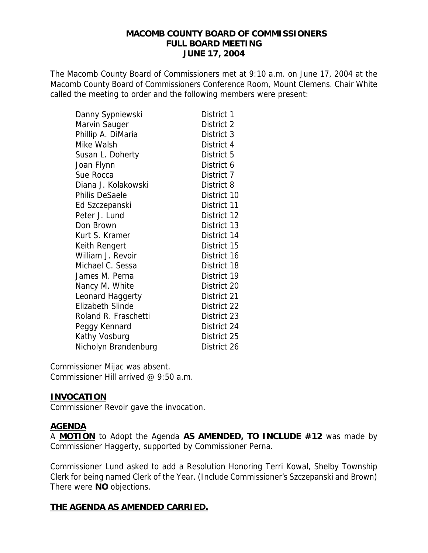#### **MACOMB COUNTY BOARD OF COMMISSIONERS FULL BOARD MEETING JUNE 17, 2004**

The Macomb County Board of Commissioners met at 9:10 a.m. on June 17, 2004 at the Macomb County Board of Commissioners Conference Room, Mount Clemens. Chair White called the meeting to order and the following members were present:

| Danny Sypniewski        | District 1  |
|-------------------------|-------------|
| Marvin Sauger           | District 2  |
| Phillip A. DiMaria      | District 3  |
| Mike Walsh              | District 4  |
| Susan L. Doherty        | District 5  |
| Joan Flynn              | District 6  |
| Sue Rocca               | District 7  |
| Diana J. Kolakowski     | District 8  |
| <b>Philis DeSaele</b>   | District 10 |
| Ed Szczepanski          | District 11 |
| Peter J. Lund           | District 12 |
| Don Brown               | District 13 |
| Kurt S. Kramer          | District 14 |
| Keith Rengert           | District 15 |
| William J. Revoir       | District 16 |
| Michael C. Sessa        | District 18 |
| James M. Perna          | District 19 |
| Nancy M. White          | District 20 |
| Leonard Haggerty        | District 21 |
| <b>Elizabeth Slinde</b> | District 22 |
| Roland R. Fraschetti    | District 23 |
| Peggy Kennard           | District 24 |
| Kathy Vosburg           | District 25 |
| Nicholyn Brandenburg    | District 26 |

Commissioner Mijac was absent. Commissioner Hill arrived @ 9:50 a.m.

### **INVOCATION**

Commissioner Revoir gave the invocation.

### **AGENDA**

A **MOTION** to Adopt the Agenda **AS AMENDED, TO INCLUDE #12** was made by Commissioner Haggerty, supported by Commissioner Perna.

Commissioner Lund asked to add a Resolution Honoring Terri Kowal, Shelby Township Clerk for being named Clerk of the Year. (Include Commissioner's Szczepanski and Brown) There were **NO** objections.

### **THE AGENDA AS AMENDED CARRIED.**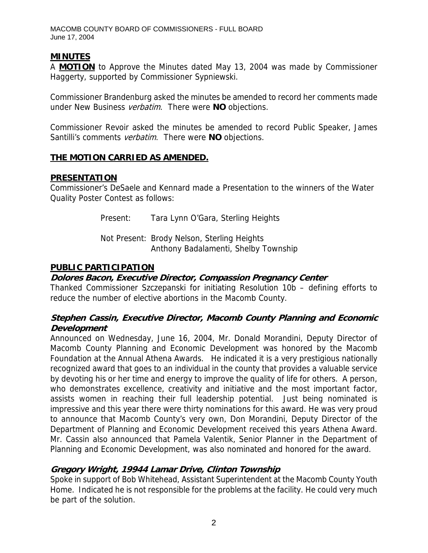# **MINUTES**

A **MOTION** to Approve the Minutes dated May 13, 2004 was made by Commissioner Haggerty, supported by Commissioner Sypniewski.

Commissioner Brandenburg asked the minutes be amended to record her comments made under New Business verbatim. There were **NO** objections.

Commissioner Revoir asked the minutes be amended to record Public Speaker, James Santilli's comments verbatim. There were **NO** objections.

## **THE MOTION CARRIED AS AMENDED.**

## **PRESENTATION**

Commissioner's DeSaele and Kennard made a Presentation to the winners of the Water Quality Poster Contest as follows:

Present: Tara Lynn O'Gara, Sterling Heights

 Not Present: Brody Nelson, Sterling Heights Anthony Badalamenti, Shelby Township

## **PUBLIC PARTICIPATION**

### **Dolores Bacon, Executive Director, Compassion Pregnancy Center**

Thanked Commissioner Szczepanski for initiating Resolution 10b – defining efforts to reduce the number of elective abortions in the Macomb County.

# **Stephen Cassin, Executive Director, Macomb County Planning and Economic Development**

Announced on Wednesday, June 16, 2004, Mr. Donald Morandini, Deputy Director of Macomb County Planning and Economic Development was honored by the Macomb Foundation at the Annual Athena Awards. He indicated it is a very prestigious nationally recognized award that goes to an individual in the county that provides a valuable service by devoting his or her time and energy to improve the quality of life for others. A person, who demonstrates excellence, creativity and initiative and the most important factor, assists women in reaching their full leadership potential. Just being nominated is impressive and this year there were thirty nominations for this award. He was very proud to announce that Macomb County's very own, Don Morandini, Deputy Director of the Department of Planning and Economic Development received this years Athena Award. Mr. Cassin also announced that Pamela Valentik, Senior Planner in the Department of Planning and Economic Development, was also nominated and honored for the award.

# **Gregory Wright, 19944 Lamar Drive, Clinton Township**

Spoke in support of Bob Whitehead, Assistant Superintendent at the Macomb County Youth Home. Indicated he is not responsible for the problems at the facility. He could very much be part of the solution.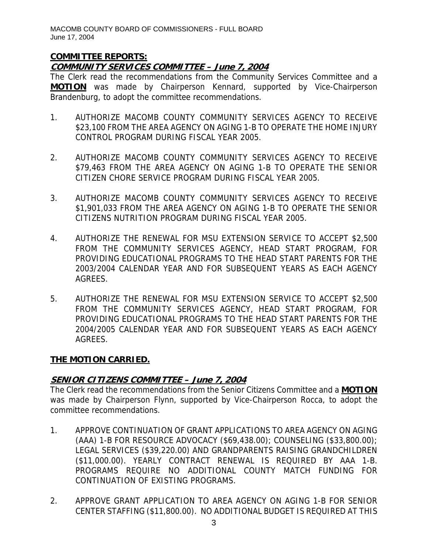## **COMMITTEE REPORTS:**

# **COMMUNITY SERVICES COMMITTEE – June 7, 2004**

The Clerk read the recommendations from the Community Services Committee and a **MOTION** was made by Chairperson Kennard, supported by Vice-Chairperson Brandenburg, to adopt the committee recommendations.

- 1. AUTHORIZE MACOMB COUNTY COMMUNITY SERVICES AGENCY TO RECEIVE \$23,100 FROM THE AREA AGENCY ON AGING 1-B TO OPERATE THE HOME INJURY CONTROL PROGRAM DURING FISCAL YEAR 2005.
- 2. AUTHORIZE MACOMB COUNTY COMMUNITY SERVICES AGENCY TO RECEIVE \$79,463 FROM THE AREA AGENCY ON AGING 1-B TO OPERATE THE SENIOR CITIZEN CHORE SERVICE PROGRAM DURING FISCAL YEAR 2005.
- 3. AUTHORIZE MACOMB COUNTY COMMUNITY SERVICES AGENCY TO RECEIVE \$1,901,033 FROM THE AREA AGENCY ON AGING 1-B TO OPERATE THE SENIOR CITIZENS NUTRITION PROGRAM DURING FISCAL YEAR 2005.
- 4. AUTHORIZE THE RENEWAL FOR MSU EXTENSION SERVICE TO ACCEPT \$2,500 FROM THE COMMUNITY SERVICES AGENCY, HEAD START PROGRAM, FOR PROVIDING EDUCATIONAL PROGRAMS TO THE HEAD START PARENTS FOR THE 2003/2004 CALENDAR YEAR AND FOR SUBSEQUENT YEARS AS EACH AGENCY AGREES.
- 5. AUTHORIZE THE RENEWAL FOR MSU EXTENSION SERVICE TO ACCEPT \$2,500 FROM THE COMMUNITY SERVICES AGENCY, HEAD START PROGRAM, FOR PROVIDING EDUCATIONAL PROGRAMS TO THE HEAD START PARENTS FOR THE 2004/2005 CALENDAR YEAR AND FOR SUBSEQUENT YEARS AS EACH AGENCY AGREES.

### **THE MOTION CARRIED.**

# **SENIOR CITIZENS COMMITTEE – June 7, 2004**

The Clerk read the recommendations from the Senior Citizens Committee and a **MOTION** was made by Chairperson Flynn, supported by Vice-Chairperson Rocca, to adopt the committee recommendations.

- 1. APPROVE CONTINUATION OF GRANT APPLICATIONS TO AREA AGENCY ON AGING (AAA) 1-B FOR RESOURCE ADVOCACY (\$69,438.00); COUNSELING (\$33,800.00); LEGAL SERVICES (\$39,220.00) AND GRANDPARENTS RAISING GRANDCHILDREN (\$11,000.00). YEARLY CONTRACT RENEWAL IS REQUIRED BY AAA 1-B. PROGRAMS REQUIRE NO ADDITIONAL COUNTY MATCH FUNDING FOR CONTINUATION OF EXISTING PROGRAMS.
- 2. APPROVE GRANT APPLICATION TO AREA AGENCY ON AGING 1-B FOR SENIOR CENTER STAFFING (\$11,800.00). NO ADDITIONAL BUDGET IS REQUIRED AT THIS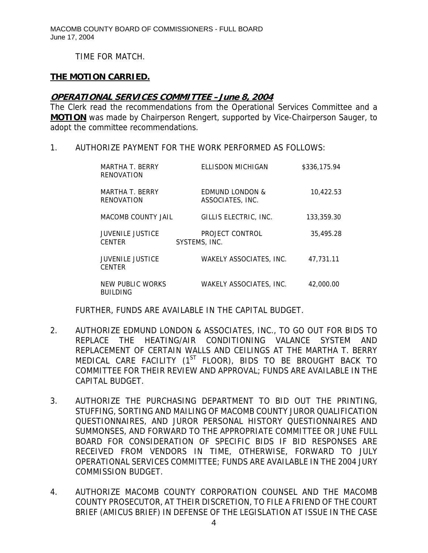TIME FOR MATCH.

### **THE MOTION CARRIED.**

#### **OPERATIONAL SERVICES COMMITTEE –June 8, 2004**

The Clerk read the recommendations from the Operational Services Committee and a **MOTION** was made by Chairperson Rengert, supported by Vice-Chairperson Sauger, to adopt the committee recommendations.

1. AUTHORIZE PAYMENT FOR THE WORK PERFORMED AS FOLLOWS:

| MARTHA T. BERRY<br><b>RENOVATION</b>     | <b>ELLISDON MICHIGAN</b>                       | \$336,175.94 |
|------------------------------------------|------------------------------------------------|--------------|
| MARTHA T. BERRY<br>RENOVATION            | <b>EDMUND LONDON &amp;</b><br>ASSOCIATES, INC. | 10,422.53    |
| <b>MACOMB COUNTY JAIL</b>                | GILLIS ELECTRIC, INC.                          | 133,359.30   |
| <b>JUVENILE JUSTICE</b><br><b>CENTER</b> | PROJECT CONTROL<br>SYSTEMS, INC.               | 35,495.28    |
| <b>JUVENILE JUSTICE</b><br><b>CENTER</b> | WAKELY ASSOCIATES, INC.                        | 47.731.11    |
| NEW PUBLIC WORKS<br><b>BUILDING</b>      | <b>WAKELY ASSOCIATES, INC.</b>                 | 42,000.00    |

FURTHER, FUNDS ARE AVAILABLE IN THE CAPITAL BUDGET.

- 2. AUTHORIZE EDMUND LONDON & ASSOCIATES, INC., TO GO OUT FOR BIDS TO REPLACE THE HEATING/AIR CONDITIONING VALANCE SYSTEM AND REPLACEMENT OF CERTAIN WALLS AND CEILINGS AT THE MARTHA T. BERRY MEDICAL CARE FACILITY (1<sup>ST</sup> FLOOR), BIDS TO BE BROUGHT BACK TO COMMITTEE FOR THEIR REVIEW AND APPROVAL; FUNDS ARE AVAILABLE IN THE CAPITAL BUDGET.
- 3. AUTHORIZE THE PURCHASING DEPARTMENT TO BID OUT THE PRINTING, STUFFING, SORTING AND MAILING OF MACOMB COUNTY JUROR QUALIFICATION QUESTIONNAIRES, AND JUROR PERSONAL HISTORY QUESTIONNAIRES AND SUMMONSES, AND FORWARD TO THE APPROPRIATE COMMITTEE OR JUNE FULL BOARD FOR CONSIDERATION OF SPECIFIC BIDS IF BID RESPONSES ARE RECEIVED FROM VENDORS IN TIME, OTHERWISE, FORWARD TO JULY OPERATIONAL SERVICES COMMITTEE; FUNDS ARE AVAILABLE IN THE 2004 JURY COMMISSION BUDGET.
- 4. AUTHORIZE MACOMB COUNTY CORPORATION COUNSEL AND THE MACOMB COUNTY PROSECUTOR, AT THEIR DISCRETION, TO FILE A FRIEND OF THE COURT BRIEF (AMICUS BRIEF) IN DEFENSE OF THE LEGISLATION AT ISSUE IN THE CASE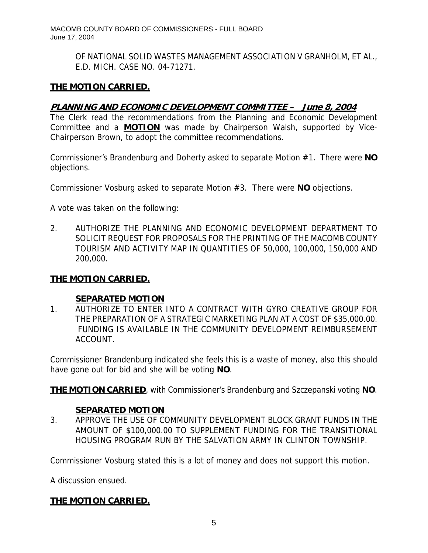> OF NATIONAL SOLID WASTES MANAGEMENT ASSOCIATION V GRANHOLM, ET AL., E.D. MICH. CASE NO. 04-71271.

## **THE MOTION CARRIED.**

## **PLANNING AND ECONOMIC DEVELOPMENT COMMITTEE – June 8, 2004**

The Clerk read the recommendations from the Planning and Economic Development Committee and a **MOTION** was made by Chairperson Walsh, supported by Vice-Chairperson Brown, to adopt the committee recommendations.

Commissioner's Brandenburg and Doherty asked to separate Motion #1. There were **NO** objections.

Commissioner Vosburg asked to separate Motion #3. There were **NO** objections.

A vote was taken on the following:

2. AUTHORIZE THE PLANNING AND ECONOMIC DEVELOPMENT DEPARTMENT TO SOLICIT REQUEST FOR PROPOSALS FOR THE PRINTING OF THE MACOMB COUNTY TOURISM AND ACTIVITY MAP IN QUANTITIES OF 50,000, 100,000, 150,000 AND 200,000.

### **THE MOTION CARRIED.**

#### **SEPARATED MOTION**

1. AUTHORIZE TO ENTER INTO A CONTRACT WITH GYRO CREATIVE GROUP FOR THE PREPARATION OF A STRATEGIC MARKETING PLAN AT A COST OF \$35,000.00. FUNDING IS AVAILABLE IN THE COMMUNITY DEVELOPMENT REIMBURSEMENT ACCOUNT.

Commissioner Brandenburg indicated she feels this is a waste of money, also this should have gone out for bid and she will be voting **NO**.

**THE MOTION CARRIED**, with Commissioner's Brandenburg and Szczepanski voting **NO**.

### **SEPARATED MOTION**

3. APPROVE THE USE OF COMMUNITY DEVELOPMENT BLOCK GRANT FUNDS IN THE AMOUNT OF \$100,000.00 TO SUPPLEMENT FUNDING FOR THE TRANSITIONAL HOUSING PROGRAM RUN BY THE SALVATION ARMY IN CLINTON TOWNSHIP.

Commissioner Vosburg stated this is a lot of money and does not support this motion.

A discussion ensued.

# **THE MOTION CARRIED.**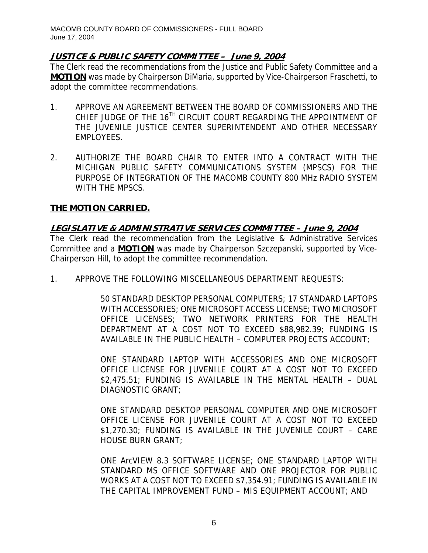# **JUSTICE & PUBLIC SAFETY COMMITTEE – June 9, 2004**

The Clerk read the recommendations from the Justice and Public Safety Committee and a **MOTION** was made by Chairperson DiMaria, supported by Vice-Chairperson Fraschetti, to adopt the committee recommendations.

- 1. APPROVE AN AGREEMENT BETWEEN THE BOARD OF COMMISSIONERS AND THE CHIEF JUDGE OF THE 16<sup>TH</sup> CIRCUIT COURT REGARDING THE APPOINTMENT OF THE JUVENILE JUSTICE CENTER SUPERINTENDENT AND OTHER NECESSARY EMPLOYEES.
- 2. AUTHORIZE THE BOARD CHAIR TO ENTER INTO A CONTRACT WITH THE MICHIGAN PUBLIC SAFETY COMMUNICATIONS SYSTEM (MPSCS) FOR THE PURPOSE OF INTEGRATION OF THE MACOMB COUNTY 800 MHz RADIO SYSTEM WITH THE MPSCS.

# **THE MOTION CARRIED.**

## **LEGISLATIVE & ADMINISTRATIVE SERVICES COMMITTEE – June 9, 2004**

The Clerk read the recommendation from the Legislative & Administrative Services Committee and a **MOTION** was made by Chairperson Szczepanski, supported by Vice-Chairperson Hill, to adopt the committee recommendation.

1. APPROVE THE FOLLOWING MISCELLANEOUS DEPARTMENT REQUESTS:

50 STANDARD DESKTOP PERSONAL COMPUTERS; 17 STANDARD LAPTOPS WITH ACCESSORIES; ONE MICROSOFT ACCESS LICENSE; TWO MICROSOFT OFFICE LICENSES; TWO NETWORK PRINTERS FOR THE HEALTH DEPARTMENT AT A COST NOT TO EXCEED \$88,982.39; FUNDING IS AVAILABLE IN THE PUBLIC HEALTH – COMPUTER PROJECTS ACCOUNT;

ONE STANDARD LAPTOP WITH ACCESSORIES AND ONE MICROSOFT OFFICE LICENSE FOR JUVENILE COURT AT A COST NOT TO EXCEED \$2,475.51; FUNDING IS AVAILABLE IN THE MENTAL HEALTH – DUAL DIAGNOSTIC GRANT;

ONE STANDARD DESKTOP PERSONAL COMPUTER AND ONE MICROSOFT OFFICE LICENSE FOR JUVENILE COURT AT A COST NOT TO EXCEED \$1,270.30; FUNDING IS AVAILABLE IN THE JUVENILE COURT – CARE HOUSE BURN GRANT;

ONE ArcVIEW 8.3 SOFTWARE LICENSE; ONE STANDARD LAPTOP WITH STANDARD MS OFFICE SOFTWARE AND ONE PROJECTOR FOR PUBLIC WORKS AT A COST NOT TO EXCEED \$7,354.91; FUNDING IS AVAILABLE IN THE CAPITAL IMPROVEMENT FUND – MIS EQUIPMENT ACCOUNT; AND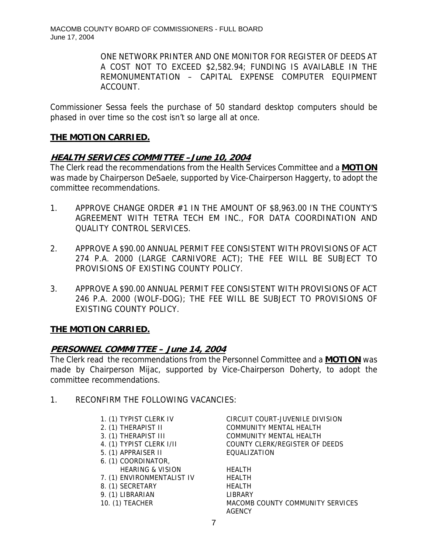ONE NETWORK PRINTER AND ONE MONITOR FOR REGISTER OF DEEDS AT A COST NOT TO EXCEED \$2,582.94; FUNDING IS AVAILABLE IN THE REMONUMENTATION – CAPITAL EXPENSE COMPUTER EQUIPMENT ACCOUNT.

Commissioner Sessa feels the purchase of 50 standard desktop computers should be phased in over time so the cost isn't so large all at once.

# **THE MOTION CARRIED.**

# **HEALTH SERVICES COMMITTEE –June 10, 2004**

The Clerk read the recommendations from the Health Services Committee and a **MOTION** was made by Chairperson DeSaele, supported by Vice-Chairperson Haggerty, to adopt the committee recommendations.

- 1. APPROVE CHANGE ORDER #1 IN THE AMOUNT OF \$8,963.00 IN THE COUNTY'S AGREEMENT WITH TETRA TECH EM INC., FOR DATA COORDINATION AND QUALITY CONTROL SERVICES.
- 2. APPROVE A \$90.00 ANNUAL PERMIT FEE CONSISTENT WITH PROVISIONS OF ACT 274 P.A. 2000 (LARGE CARNIVORE ACT); THE FEE WILL BE SUBJECT TO PROVISIONS OF EXISTING COUNTY POLICY.
- 3. APPROVE A \$90.00 ANNUAL PERMIT FEE CONSISTENT WITH PROVISIONS OF ACT 246 P.A. 2000 (WOLF-DOG); THE FEE WILL BE SUBJECT TO PROVISIONS OF EXISTING COUNTY POLICY.

# **THE MOTION CARRIED.**

# **PERSONNEL COMMITTEE – June 14, 2004**

The Clerk read the recommendations from the Personnel Committee and a **MOTION** was made by Chairperson Mijac, supported by Vice-Chairperson Doherty, to adopt the committee recommendations.

1. RECONFIRM THE FOLLOWING VACANCIES:

| 1. (1) TYPIST CLERK IV      |
|-----------------------------|
| 2. (1) THERAPIST II         |
| 3. (1) THERAPIST III        |
| 4. (1) TYPIST CLERK I/II    |
| 5. (1) APPRAISER II         |
| 6. (1) COORDINATOR,         |
| <b>HEARING &amp; VISION</b> |
| 7. (1) ENVIRONMENTALIST IV  |
| 8. (1) SECRETARY            |
| 9. (1) LIBRARIAN            |
| 10. (1) TEACHER             |
|                             |

CIRCUIT COURT-JUVENILE DIVISION COMMUNITY MENTAL HEALTH COMMUNITY MENTAL HEALTH COUNTY CLERK/REGISTER OF DEEDS **EQUALIZATION** 

HEALTH HFAI TH **HEALTH I IBRARY** MACOMB COUNTY COMMUNITY SERVICES **AGENCY**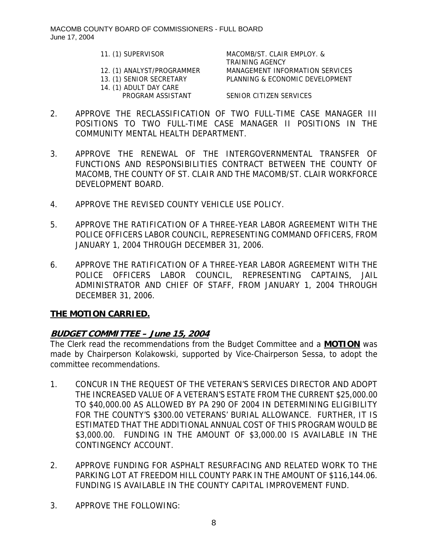- 
- 14. (1) ADULT DAY CARE

11. (1) SUPERVISOR MACOMB/ST. CLAIR EMPLOY. & TRAINING AGENCY 12. (1) ANALYST/PROGRAMMER MANAGEMENT INFORMATION SERVICES 13. (1) SENIOR SECRETARY PLANNING & ECONOMIC DEVELOPMENT

PROGRAM ASSISTANT SENIOR CITIZEN SERVICES

- 2. APPROVE THE RECLASSIFICATION OF TWO FULL-TIME CASE MANAGER III POSITIONS TO TWO FULL-TIME CASE MANAGER II POSITIONS IN THE COMMUNITY MENTAL HEALTH DEPARTMENT.
- 3. APPROVE THE RENEWAL OF THE INTERGOVERNMENTAL TRANSFER OF FUNCTIONS AND RESPONSIBILITIES CONTRACT BETWEEN THE COUNTY OF MACOMB, THE COUNTY OF ST. CLAIR AND THE MACOMB/ST. CLAIR WORKFORCE DEVELOPMENT BOARD.
- 4. APPROVE THE REVISED COUNTY VEHICLE USE POLICY.
- 5. APPROVE THE RATIFICATION OF A THREE-YEAR LABOR AGREEMENT WITH THE POLICE OFFICERS LABOR COUNCIL, REPRESENTING COMMAND OFFICERS, FROM JANUARY 1, 2004 THROUGH DECEMBER 31, 2006.
- 6. APPROVE THE RATIFICATION OF A THREE-YEAR LABOR AGREEMENT WITH THE POLICE OFFICERS LABOR COUNCIL, REPRESENTING CAPTAINS, JAIL ADMINISTRATOR AND CHIEF OF STAFF, FROM JANUARY 1, 2004 THROUGH DECEMBER 31, 2006.

# **THE MOTION CARRIED.**

# **BUDGET COMMITTEE – June 15, 2004**

The Clerk read the recommendations from the Budget Committee and a **MOTION** was made by Chairperson Kolakowski, supported by Vice-Chairperson Sessa, to adopt the committee recommendations.

- 1. CONCUR IN THE REQUEST OF THE VETERAN'S SERVICES DIRECTOR AND ADOPT THE INCREASED VALUE OF A VETERAN'S ESTATE FROM THE CURRENT \$25,000.00 TO \$40,000.00 AS ALLOWED BY PA 290 OF 2004 IN DETERMINING ELIGIBILITY FOR THE COUNTY'S \$300.00 VETERANS' BURIAL ALLOWANCE. FURTHER, IT IS ESTIMATED THAT THE ADDITIONAL ANNUAL COST OF THIS PROGRAM WOULD BE \$3,000.00. FUNDING IN THE AMOUNT OF \$3,000.00 IS AVAILABLE IN THE CONTINGENCY ACCOUNT.
- 2. APPROVE FUNDING FOR ASPHALT RESURFACING AND RELATED WORK TO THE PARKING LOT AT FREEDOM HILL COUNTY PARK IN THE AMOUNT OF \$116,144.06. FUNDING IS AVAILABLE IN THE COUNTY CAPITAL IMPROVEMENT FUND.
- 3. APPROVE THE FOLLOWING: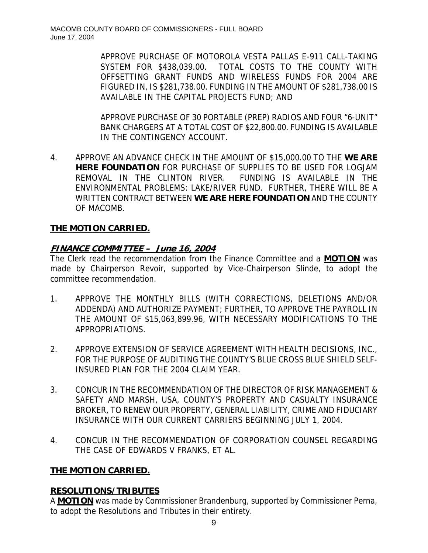APPROVE PURCHASE OF MOTOROLA VESTA PALLAS E-911 CALL-TAKING SYSTEM FOR \$438,039.00. TOTAL COSTS TO THE COUNTY WITH OFFSETTING GRANT FUNDS AND WIRELESS FUNDS FOR 2004 ARE FIGURED IN, IS \$281,738.00. FUNDING IN THE AMOUNT OF \$281,738.00 IS AVAILABLE IN THE CAPITAL PROJECTS FUND; AND

APPROVE PURCHASE OF 30 PORTABLE (PREP) RADIOS AND FOUR "6-UNIT" BANK CHARGERS AT A TOTAL COST OF \$22,800.00. FUNDING IS AVAILABLE IN THE CONTINGENCY ACCOUNT.

4. APPROVE AN ADVANCE CHECK IN THE AMOUNT OF \$15,000.00 TO THE **WE ARE HERE FOUNDATION** FOR PURCHASE OF SUPPLIES TO BE USED FOR LOGJAM REMOVAL IN THE CLINTON RIVER. FUNDING IS AVAILABLE IN THE ENVIRONMENTAL PROBLEMS: LAKE/RIVER FUND. FURTHER, THERE WILL BE A WRITTEN CONTRACT BETWEEN **WE ARE HERE FOUNDATION** AND THE COUNTY OF MACOMB.

# **THE MOTION CARRIED.**

# **FINANCE COMMITTEE – June 16, 2004**

The Clerk read the recommendation from the Finance Committee and a **MOTION** was made by Chairperson Revoir, supported by Vice-Chairperson Slinde, to adopt the committee recommendation.

- 1. APPROVE THE MONTHLY BILLS (WITH CORRECTIONS, DELETIONS AND/OR ADDENDA) AND AUTHORIZE PAYMENT; FURTHER, TO APPROVE THE PAYROLL IN THE AMOUNT OF \$15,063,899.96, WITH NECESSARY MODIFICATIONS TO THE APPROPRIATIONS.
- 2. APPROVE EXTENSION OF SERVICE AGREEMENT WITH HEALTH DECISIONS, INC., FOR THE PURPOSE OF AUDITING THE COUNTY'S BLUE CROSS BLUE SHIELD SELF-INSURED PLAN FOR THE 2004 CLAIM YEAR.
- 3. CONCUR IN THE RECOMMENDATION OF THE DIRECTOR OF RISK MANAGEMENT & SAFETY AND MARSH, USA, COUNTY'S PROPERTY AND CASUALTY INSURANCE BROKER, TO RENEW OUR PROPERTY, GENERAL LIABILITY, CRIME AND FIDUCIARY INSURANCE WITH OUR CURRENT CARRIERS BEGINNING JULY 1, 2004.
- 4. CONCUR IN THE RECOMMENDATION OF CORPORATION COUNSEL REGARDING THE CASE OF EDWARDS V FRANKS, ET AL.

# **THE MOTION CARRIED.**

# **RESOLUTIONS/TRIBUTES**

A **MOTION** was made by Commissioner Brandenburg, supported by Commissioner Perna, to adopt the Resolutions and Tributes in their entirety.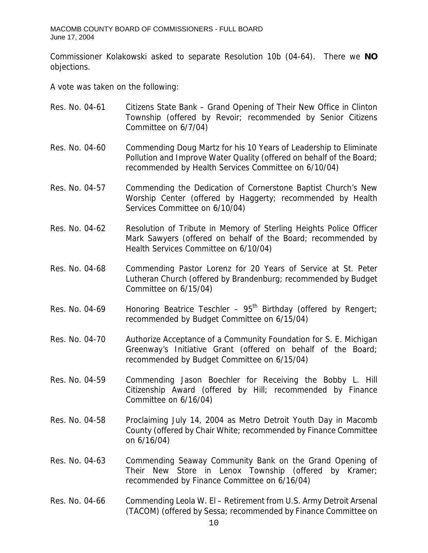Commissioner Kolakowski asked to separate Resolution 10b (04-64). There we **NO** objections.

A vote was taken on the following:

| Res. No. 04-61 | Citizens State Bank - Grand Opening of Their New Office in Clinton<br>Township (offered by Revoir; recommended by Senior Citizens<br>Committee on 6/7/04)                                         |
|----------------|---------------------------------------------------------------------------------------------------------------------------------------------------------------------------------------------------|
| Res. No. 04-60 | Commending Doug Martz for his 10 Years of Leadership to Eliminate<br>Pollution and Improve Water Quality (offered on behalf of the Board;<br>recommended by Health Services Committee on 6/10/04) |
| Res. No. 04-57 | Commending the Dedication of Cornerstone Baptist Church's New<br>Worship Center (offered by Haggerty; recommended by Health<br>Services Committee on 6/10/04)                                     |
| Res. No. 04-62 | Resolution of Tribute in Memory of Sterling Heights Police Officer<br>Mark Sawyers (offered on behalf of the Board; recommended by<br>Health Services Committee on 6/10/04)                       |
| Res. No. 04-68 | Commending Pastor Lorenz for 20 Years of Service at St. Peter<br>Lutheran Church (offered by Brandenburg; recommended by Budget<br>Committee on 6/15/04)                                          |
| Res. No. 04-69 | Honoring Beatrice Teschler - $95th$ Birthday (offered by Rengert;<br>recommended by Budget Committee on 6/15/04)                                                                                  |
| Res. No. 04-70 | Authorize Acceptance of a Community Foundation for S. E. Michigan<br>Greenway's Initiative Grant (offered on behalf of the Board;<br>recommended by Budget Committee on 6/15/04)                  |
| Res. No. 04-59 | Commending Jason Boechler for Receiving the Bobby L. Hill<br>Citizenship Award (offered by Hill; recommended by Finance<br>Committee on 6/16/04)                                                  |
| Res. No. 04-58 | Proclaiming July 14, 2004 as Metro Detroit Youth Day in Macomb<br>County (offered by Chair White; recommended by Finance Committee<br>on 6/16/04)                                                 |
| Res. No. 04-63 | Commending Seaway Community Bank on the Grand Opening of<br>Their New Store in Lenox Township (offered<br>by Kramer;<br>recommended by Finance Committee on 6/16/04)                              |
| Res. No. 04-66 | Commending Leola W. El - Retirement from U.S. Army Detroit Arsenal<br>(TACOM) (offered by Sessa; recommended by Finance Committee on<br>10                                                        |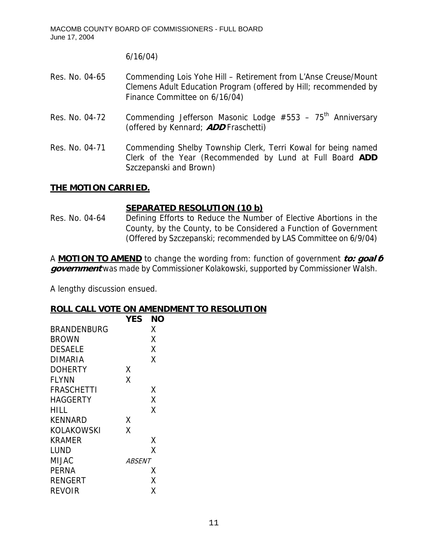6/16/04)

- Res. No. 04-65 Commending Lois Yohe Hill Retirement from L'Anse Creuse/Mount Clemens Adult Education Program (offered by Hill; recommended by Finance Committee on 6/16/04)
- Res. No. 04-72 Commending Jefferson Masonic Lodge  $#553 75<sup>th</sup>$  Anniversary (offered by Kennard; **ADD** Fraschetti)
- Res. No. 04-71 Commending Shelby Township Clerk, Terri Kowal for being named Clerk of the Year (Recommended by Lund at Full Board **ADD** Szczepanski and Brown)

## **THE MOTION CARRIED.**

## **SEPARATED RESOLUTION (10 b)**

Res. No. 04-64 Defining Efforts to Reduce the Number of Elective Abortions in the County, by the County, to be Considered a Function of Government (Offered by Szczepanski; recommended by LAS Committee on 6/9/04)

A **MOTION TO AMEND** to change the wording from: function of government **to: goal 6 government** was made by Commissioner Kolakowski, supported by Commissioner Walsh.

A lengthy discussion ensued.

### **ROLL CALL VOTE ON AMENDMENT TO RESOLUTION**

|                    | <b>YES</b>    | NΟ |
|--------------------|---------------|----|
| <b>BRANDENBURG</b> |               | x  |
| BROWN              |               | x  |
| <b>DESAELE</b>     |               | χ  |
| DIMARIA            |               | Χ  |
| <b>DOHERTY</b>     | Χ             |    |
| <b>FLYNN</b>       | χ             |    |
| <b>FRASCHETTI</b>  |               | Χ  |
| <b>HAGGERTY</b>    |               | Χ  |
| HILL               |               | χ  |
| <b>KENNARD</b>     | x             |    |
| KOLAKOWSKI         | x             |    |
| <b>KRAMER</b>      |               | Χ  |
| LUND               |               | χ  |
| MIJAC              | <i>ABSENT</i> |    |
| <b>PERNA</b>       |               | x  |
| <b>RENGERT</b>     |               | Χ  |
| <b>REVOIR</b>      |               | Χ  |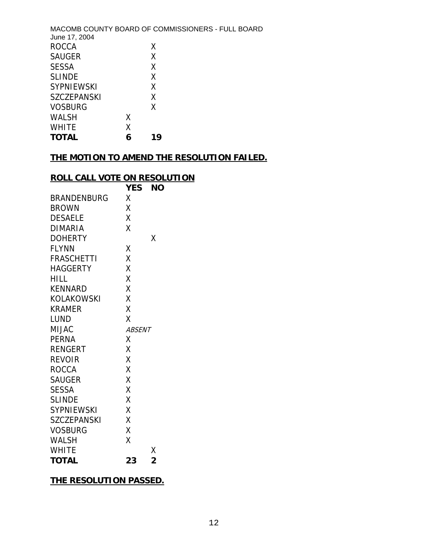| June 17, 2004      |   | MACOMB COUNTY BOARD OF COMMISSIONERS - FULL BOARD |
|--------------------|---|---------------------------------------------------|
| <b>ROCCA</b>       |   | X                                                 |
| <b>SAUGER</b>      |   | Χ                                                 |
| <b>SESSA</b>       |   | χ                                                 |
| <b>SLINDE</b>      |   | X                                                 |
| <b>SYPNIEWSKI</b>  |   | X                                                 |
| <b>SZCZEPANSKI</b> |   | X                                                 |
| <b>VOSBURG</b>     |   | X                                                 |
| WALSH              | Χ |                                                   |
| <b>WHITE</b>       | Χ |                                                   |
| <b>TOTAL</b>       | 6 | 19                                                |

# **THE MOTION TO AMEND THE RESOLUTION FAILED.**

## **ROLL CALL VOTE ON RESOLUTION**

|                    | <b>YES</b>    | ΝO             |
|--------------------|---------------|----------------|
| <b>BRANDENBURG</b> | χ             |                |
| <b>BROWN</b>       | Χ             |                |
| <b>DESAELE</b>     | Χ             |                |
| DIMARIA            | X             |                |
| <b>DOHERTY</b>     |               | Χ              |
| <b>FLYNN</b>       | Χ             |                |
| <b>FRASCHETTI</b>  | X             |                |
| <b>HAGGERTY</b>    | X             |                |
| <b>HILL</b>        | Χ             |                |
| <b>KENNARD</b>     | X             |                |
| KOLAKOWSKI         | X             |                |
| KRAMER             | Χ             |                |
| LUND               | X             |                |
| <b>MIJAC</b>       | <b>ABSENT</b> |                |
| PERNA              | Χ             |                |
| <b>RENGERT</b>     | X             |                |
| <b>REVOIR</b>      | X             |                |
| <b>ROCCA</b>       | X             |                |
| <b>SAUGER</b>      | Χ             |                |
| <b>SESSA</b>       | X             |                |
| <b>SLINDE</b>      | X             |                |
| <b>SYPNIEWSKI</b>  | X             |                |
| <b>SZCZEPANSKI</b> | Χ             |                |
| <b>VOSBURG</b>     | X             |                |
| <b>WALSH</b>       | Χ             |                |
| <b>WHITE</b>       |               | Χ              |
| <b>TOTAL</b>       | 23            | $\overline{2}$ |

## **THE RESOLUTION PASSED.**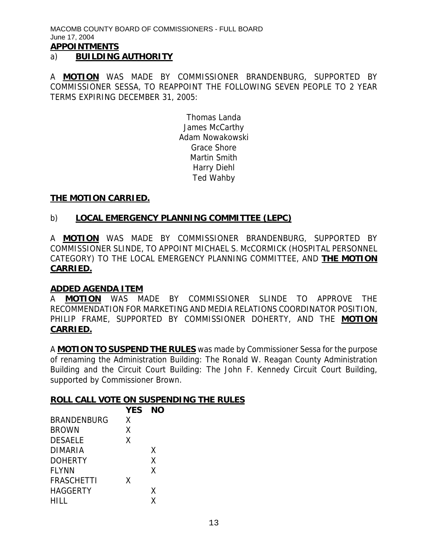MACOMB COUNTY BOARD OF COMMISSIONERS - FULL BOARD June 17, 2004 **APPOINTMENTS**

#### a) **BUILDING AUTHORITY**

A **MOTION** WAS MADE BY COMMISSIONER BRANDENBURG, SUPPORTED BY COMMISSIONER SESSA, TO REAPPOINT THE FOLLOWING SEVEN PEOPLE TO 2 YEAR TERMS EXPIRING DECEMBER 31, 2005:

> Thomas Landa James McCarthy Adam Nowakowski Grace Shore Martin Smith Harry Diehl Ted Wahby

#### **THE MOTION CARRIED.**

#### b) **LOCAL EMERGENCY PLANNING COMMITTEE (LEPC)**

A **MOTION** WAS MADE BY COMMISSIONER BRANDENBURG, SUPPORTED BY COMMISSIONER SLINDE, TO APPOINT MICHAEL S. McCORMICK (HOSPITAL PERSONNEL CATEGORY) TO THE LOCAL EMERGENCY PLANNING COMMITTEE, AND **THE MOTION CARRIED.**

#### **ADDED AGENDA ITEM**

A **MOTION** WAS MADE BY COMMISSIONER SLINDE TO APPROVE THE RECOMMENDATION FOR MARKETING AND MEDIA RELATIONS COORDINATOR POSITION, PHILIP FRAME, SUPPORTED BY COMMISSIONER DOHERTY, AND THE **MOTION CARRIED.**

A **MOTION TO SUSPEND THE RULES** was made by Commissioner Sessa for the purpose of renaming the Administration Building: The Ronald W. Reagan County Administration Building and the Circuit Court Building: The John F. Kennedy Circuit Court Building, supported by Commissioner Brown.

#### **ROLL CALL VOTE ON SUSPENDING THE RULES**

|                    | <b>YES</b> | NΟ |
|--------------------|------------|----|
| <b>BRANDENBURG</b> | Χ          |    |
| <b>BROWN</b>       | χ          |    |
| <b>DESAELE</b>     | χ          |    |
| DIMARIA            |            | Χ  |
| <b>DOHERTY</b>     |            | X  |
| <b>FLYNN</b>       |            | χ  |
| <b>FRASCHETTI</b>  | X          |    |
| <b>HAGGERTY</b>    |            | χ  |
| HILL               |            | χ  |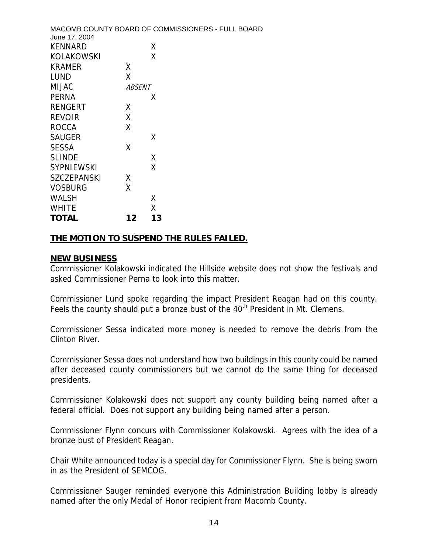|               | MACOMB COUNTY BOARD OF COMMISSIONERS - FULL BOARD |
|---------------|---------------------------------------------------|
|               |                                                   |
|               | X                                                 |
|               | Χ                                                 |
| χ             |                                                   |
| Χ             |                                                   |
| <i>ABSENT</i> |                                                   |
|               | Χ                                                 |
| X             |                                                   |
| Χ             |                                                   |
| Χ             |                                                   |
|               | X                                                 |
| χ             |                                                   |
|               | χ                                                 |
|               | X                                                 |
| X             |                                                   |
| χ             |                                                   |
|               | χ                                                 |
|               | Χ                                                 |
| 12            | 13                                                |
|               |                                                   |

### **THE MOTION TO SUSPEND THE RULES FAILED.**

### **NEW BUSINESS**

Commissioner Kolakowski indicated the Hillside website does not show the festivals and asked Commissioner Perna to look into this matter.

Commissioner Lund spoke regarding the impact President Reagan had on this county. Feels the county should put a bronze bust of the 40<sup>th</sup> President in Mt. Clemens.

Commissioner Sessa indicated more money is needed to remove the debris from the Clinton River.

Commissioner Sessa does not understand how two buildings in this county could be named after deceased county commissioners but we cannot do the same thing for deceased presidents.

Commissioner Kolakowski does not support any county building being named after a federal official. Does not support any building being named after a person.

Commissioner Flynn concurs with Commissioner Kolakowski. Agrees with the idea of a bronze bust of President Reagan.

Chair White announced today is a special day for Commissioner Flynn. She is being sworn in as the President of SEMCOG.

Commissioner Sauger reminded everyone this Administration Building lobby is already named after the only Medal of Honor recipient from Macomb County.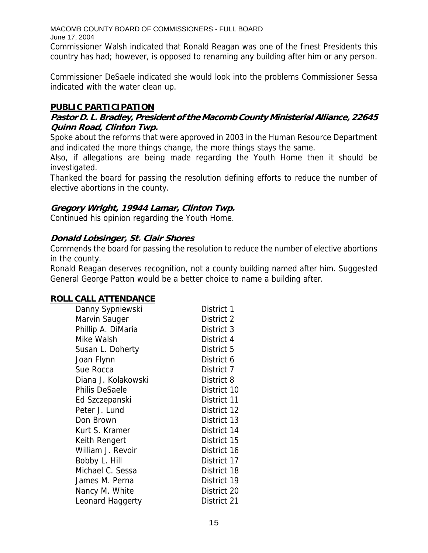Commissioner Walsh indicated that Ronald Reagan was one of the finest Presidents this country has had; however, is opposed to renaming any building after him or any person.

Commissioner DeSaele indicated she would look into the problems Commissioner Sessa indicated with the water clean up.

## **PUBLIC PARTICIPATION**

## **Pastor D. L. Bradley, President of the Macomb County Ministerial Alliance, 22645 Quinn Road, Clinton Twp.**

Spoke about the reforms that were approved in 2003 in the Human Resource Department and indicated the more things change, the more things stays the same.

Also, if allegations are being made regarding the Youth Home then it should be investigated.

Thanked the board for passing the resolution defining efforts to reduce the number of elective abortions in the county.

## **Gregory Wright, 19944 Lamar, Clinton Twp.**

Continued his opinion regarding the Youth Home.

## **Donald Lobsinger, St. Clair Shores**

Commends the board for passing the resolution to reduce the number of elective abortions in the county.

Ronald Reagan deserves recognition, not a county building named after him. Suggested General George Patton would be a better choice to name a building after.

### **ROLL CALL ATTENDANCE**

| Danny Sypniewski      | District 1  |
|-----------------------|-------------|
| Marvin Sauger         | District 2  |
| Phillip A. DiMaria    | District 3  |
| Mike Walsh            | District 4  |
| Susan L. Doherty      | District 5  |
| Joan Flynn            | District 6  |
| Sue Rocca             | District 7  |
| Diana J. Kolakowski   | District 8  |
| <b>Philis DeSaele</b> | District 10 |
| Ed Szczepanski        | District 11 |
| Peter J. Lund         | District 12 |
| Don Brown             | District 13 |
| Kurt S. Kramer        | District 14 |
| Keith Rengert         | District 15 |
| William J. Revoir     | District 16 |
| Bobby L. Hill         | District 17 |
| Michael C. Sessa      | District 18 |
| James M. Perna        | District 19 |
| Nancy M. White        | District 20 |
| Leonard Haggerty      | District 21 |